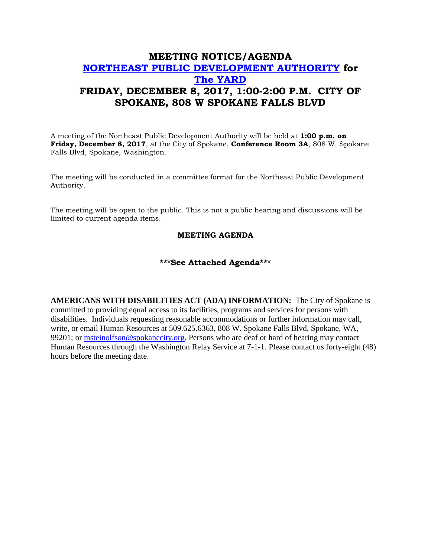## **MEETING NOTICE/AGENDA [NORTHEAST PUBLIC DEVELOPMENT AUTHORITY](https://beta.spokanecity.org/bcc/boards/northeast-public-development-authority/) for [The YARD](https://beta.spokanecity.org/projects/theyard/) FRIDAY, DECEMBER 8, 2017, 1:00-2:00 P.M. CITY OF SPOKANE, 808 W SPOKANE FALLS BLVD**

A meeting of the Northeast Public Development Authority will be held at **1:00 p.m. on Friday, December 8, 2017**, at the City of Spokane, **Conference Room 3A**, 808 W. Spokane Falls Blvd, Spokane, Washington.

The meeting will be conducted in a committee format for the Northeast Public Development Authority.

The meeting will be open to the public. This is not a public hearing and discussions will be limited to current agenda items.

## **MEETING AGENDA**

## **\*\*\*See Attached Agenda\*\*\***

**AMERICANS WITH DISABILITIES ACT (ADA) INFORMATION:** The City of Spokane is committed to providing equal access to its facilities, programs and services for persons with disabilities. Individuals requesting reasonable accommodations or further information may call, write, or email Human Resources at 509.625.6363, 808 W. Spokane Falls Blvd, Spokane, WA, 99201; or [msteinolfson@spokanecity.org.](mailto:msteinolfson@spokanecity.org) Persons who are deaf or hard of hearing may contact Human Resources through the Washington Relay Service at 7-1-1. Please contact us forty-eight (48) hours before the meeting date.